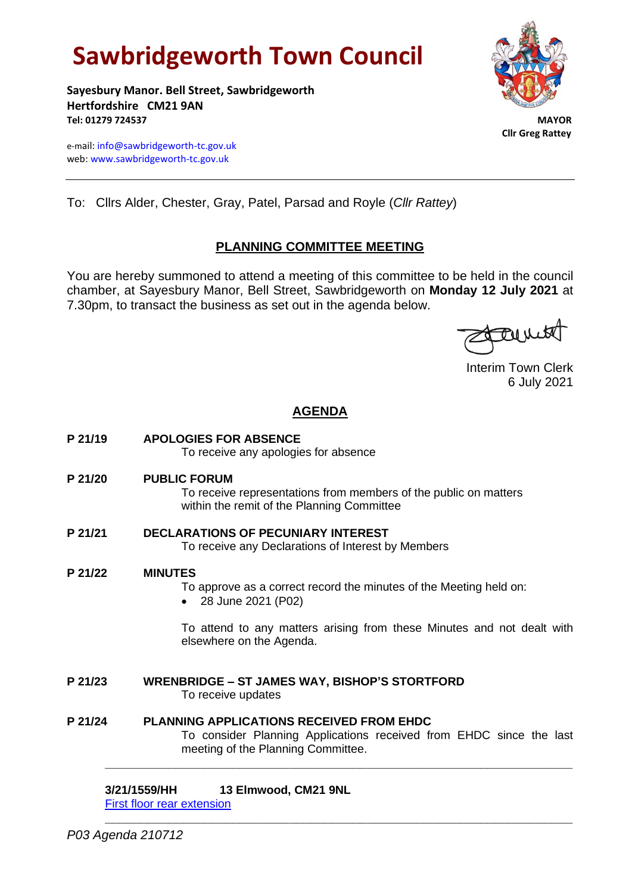# **Sawbridgeworth Town Council**

**Sayesbury Manor. Bell Street, Sawbridgeworth Hertfordshire CM21 9AN Tel: 01279 724537 MAYOR**

e-mail[: info@sawbridgeworth-tc.gov.uk](mailto:info@sawbridgeworth-tc.gov.uk) web: www.sawbridgeworth-tc.gov.uk



 **Cllr Greg Rattey**

To: Cllrs Alder, Chester, Gray, Patel, Parsad and Royle (*Cllr Rattey*)

# **PLANNING COMMITTEE MEETING**

You are hereby summoned to attend a meeting of this committee to be held in the council chamber, at Sayesbury Manor, Bell Street, Sawbridgeworth on **Monday 12 July 2021** at 7.30pm, to transact the business as set out in the agenda below.

Found

Interim Town Clerk 6 July 2021

# **AGENDA**

**P 21/19 APOLOGIES FOR ABSENCE**

To receive any apologies for absence

**P 21/20 PUBLIC FORUM**

To receive representations from members of the public on matters within the remit of the Planning Committee

- **P 21/21 DECLARATIONS OF PECUNIARY INTEREST** To receive any Declarations of Interest by Members
- **P 21/22 MINUTES**

To approve as a correct record the minutes of the Meeting held on:

• 28 June 2021 (P02)

To attend to any matters arising from these Minutes and not dealt with elsewhere on the Agenda.

- **P 21/23 WRENBRIDGE – ST JAMES WAY, BISHOP'S STORTFORD** To receive updates
- **P 21/24 PLANNING APPLICATIONS RECEIVED FROM EHDC** To consider Planning Applications received from EHDC since the last meeting of the Planning Committee.

**\_\_\_\_\_\_\_\_\_\_\_\_\_\_\_\_\_\_\_\_\_\_\_\_\_\_\_\_\_\_\_\_\_\_\_\_\_\_\_\_\_\_\_\_\_\_\_\_\_\_\_\_\_\_\_\_\_\_\_\_\_\_\_\_\_\_**

**\_\_\_\_\_\_\_\_\_\_\_\_\_\_\_\_\_\_\_\_\_\_\_\_\_\_\_\_\_\_\_\_\_\_\_\_\_\_\_\_\_\_\_\_\_\_\_\_\_\_\_\_\_\_\_\_\_\_\_\_\_\_\_\_\_\_**

### **3/21/1559/HH 13 Elmwood, CM21 9NL**

[First floor rear extension](https://publicaccess.eastherts.gov.uk/online-applications/applicationDetails.do?activeTab=documents&keyVal=QUJLQVGLFH400)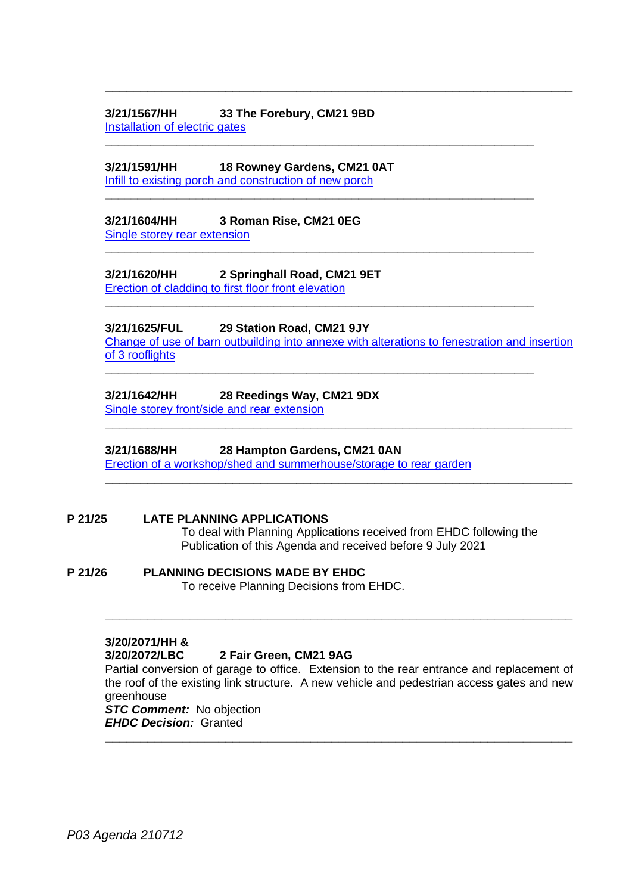### **3/21/1567/HH 33 The Forebury, CM21 9BD** [Installation of electric gates](https://publicaccess.eastherts.gov.uk/online-applications/applicationDetails.do?activeTab=documents&keyVal=QUOJGKGLFHU00)

**3/21/1591/HH 18 Rowney Gardens, CM21 0AT** Infill [to existing porch and construction of new porch](https://publicaccess.eastherts.gov.uk/online-applications/applicationDetails.do?activeTab=documents&keyVal=QUQPC6GLFJC00)

### **3/21/1604/HH 3 Roman Rise, CM21 0EG** [Single storey rear extension](https://publicaccess.eastherts.gov.uk/online-applications/applicationDetails.do?activeTab=documents&keyVal=QUSV4WGLFK900)

## **3/21/1620/HH 2 Springhall Road, CM21 9ET**

[Erection of cladding to first floor front elevation](https://publicaccess.eastherts.gov.uk/online-applications/applicationDetails.do?activeTab=documents&keyVal=QUVY78GLFL800)

### **3/21/1625/FUL 29 Station Road, CM21 9JY**

[Change of use of barn outbuilding into annexe with alterations to fenestration and insertion](https://publicaccess.eastherts.gov.uk/online-applications/applicationDetails.do?activeTab=documents&keyVal=QUWKE4GLFLK00)  [of 3 rooflights](https://publicaccess.eastherts.gov.uk/online-applications/applicationDetails.do?activeTab=documents&keyVal=QUWKE4GLFLK00)

**\_\_\_\_\_\_\_\_\_\_\_\_\_\_\_\_\_\_\_\_\_\_\_\_\_\_\_\_\_\_\_\_\_\_\_\_\_\_\_\_\_\_\_\_\_\_\_\_\_\_\_\_\_\_\_\_\_\_\_\_\_\_\_\_\_\_**

**\_\_\_\_\_\_\_\_\_\_\_\_\_\_\_\_\_\_\_\_\_\_\_\_\_\_\_\_\_\_\_\_\_\_\_\_\_\_\_\_\_\_\_\_\_\_\_\_\_\_\_\_\_\_\_\_\_\_\_\_\_\_\_\_\_\_**

**\_\_\_\_\_\_\_\_\_\_\_\_\_\_\_\_\_\_\_\_\_\_\_\_\_\_\_\_\_\_\_\_\_\_\_\_\_\_\_\_\_\_\_\_\_\_\_\_\_\_\_\_\_\_\_\_\_\_\_\_\_\_\_\_\_\_**

**\_\_\_\_\_\_\_\_\_\_\_\_\_\_\_\_\_\_\_\_\_\_\_\_\_\_\_\_\_\_\_\_\_\_\_\_\_\_\_\_\_\_\_\_\_\_\_\_\_\_\_\_\_\_\_\_\_\_\_\_\_\_\_\_\_\_**

**\_\_\_\_\_\_\_\_\_\_\_\_\_\_\_\_\_\_\_\_\_\_\_\_\_\_\_\_\_\_\_\_\_\_\_\_\_\_\_\_\_\_\_\_\_\_\_\_\_\_\_\_\_\_\_\_\_\_\_\_\_\_\_\_\_\_**

**\_\_\_\_\_\_\_\_\_\_\_\_\_\_\_\_\_\_\_\_\_\_\_\_\_\_\_\_\_\_\_\_\_\_\_\_\_\_\_\_\_\_\_\_\_\_\_\_\_\_\_\_\_\_\_\_\_\_\_\_\_\_\_\_\_\_**

**\_\_\_\_\_\_\_\_\_\_\_\_\_\_\_\_\_\_\_\_\_\_\_\_\_\_\_\_\_\_\_\_\_\_\_\_\_\_\_\_\_\_\_\_\_\_\_\_\_\_\_\_\_\_\_\_\_\_\_\_\_\_\_\_\_\_**

**\_\_\_\_\_\_\_\_\_\_\_\_\_\_\_\_\_\_\_\_\_\_\_\_\_\_\_\_\_\_\_\_\_\_\_\_\_\_\_\_\_\_\_\_\_\_\_\_\_\_\_\_\_\_\_\_\_\_\_\_\_\_\_\_\_\_**

# **3/21/1642/HH 28 Reedings Way, CM21 9DX**

[Single storey front/side and rear extension](https://publicaccess.eastherts.gov.uk/online-applications/applicationDetails.do?activeTab=documents&keyVal=QV09PIGLFMQ00)

### **3/21/1688/HH 28 Hampton Gardens, CM21 0AN**

[Erection of a workshop/shed and summerhouse/storage to rear garden](https://publicaccess.eastherts.gov.uk/online-applications/applicationDetails.do?activeTab=documents&keyVal=QV97Y9GLFQ000)

### **P 21/25 LATE PLANNING APPLICATIONS**

To deal with Planning Applications received from EHDC following the Publication of this Agenda and received before 9 July 2021

# **P 21/26 PLANNING DECISIONS MADE BY EHDC**

To receive Planning Decisions from EHDC.

### **3/20/2071/HH &**

### **3/20/2072/LBC 2 Fair Green, CM21 9AG**

Partial conversion of garage to office. Extension to the rear entrance and replacement of the roof of the existing link structure. A new vehicle and pedestrian access gates and new greenhouse

**\_\_\_\_\_\_\_\_\_\_\_\_\_\_\_\_\_\_\_\_\_\_\_\_\_\_\_\_\_\_\_\_\_\_\_\_\_\_\_\_\_\_\_\_\_\_\_\_\_\_\_\_\_\_\_\_\_\_\_\_\_\_\_\_\_\_**

**\_\_\_\_\_\_\_\_\_\_\_\_\_\_\_\_\_\_\_\_\_\_\_\_\_\_\_\_\_\_\_\_\_\_\_\_\_\_\_\_\_\_\_\_\_\_\_\_\_\_\_\_\_\_\_\_\_\_\_\_\_\_\_\_\_\_**

*STC Comment:* No objection *EHDC Decision:* Granted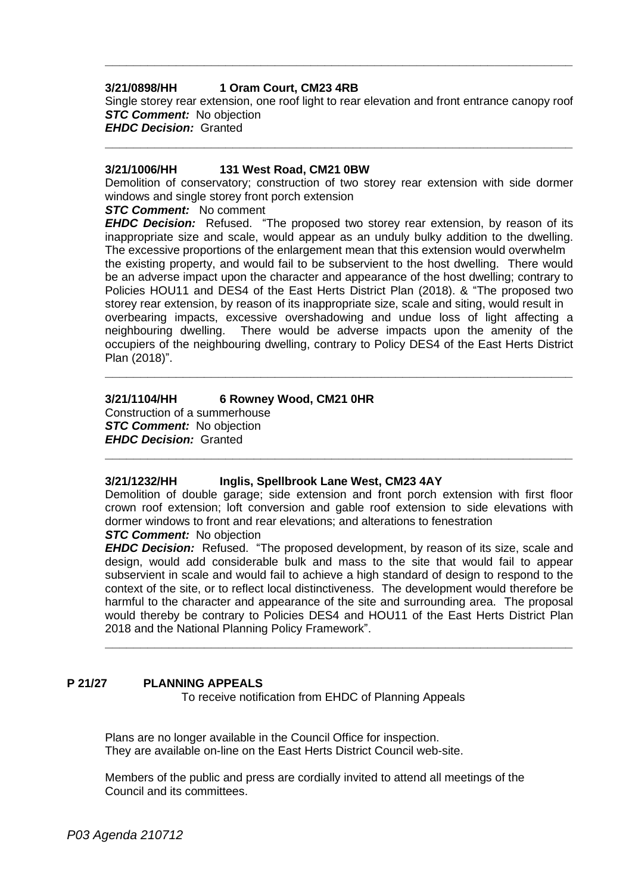### **3/21/0898/HH 1 Oram Court, CM23 4RB**

Single storey rear extension, one roof light to rear elevation and front entrance canopy roof **STC Comment:** No objection *EHDC Decision:* Granted

**\_\_\_\_\_\_\_\_\_\_\_\_\_\_\_\_\_\_\_\_\_\_\_\_\_\_\_\_\_\_\_\_\_\_\_\_\_\_\_\_\_\_\_\_\_\_\_\_\_\_\_\_\_\_\_\_\_\_\_\_\_\_\_\_\_\_**

**\_\_\_\_\_\_\_\_\_\_\_\_\_\_\_\_\_\_\_\_\_\_\_\_\_\_\_\_\_\_\_\_\_\_\_\_\_\_\_\_\_\_\_\_\_\_\_\_\_\_\_\_\_\_\_\_\_\_\_\_\_\_\_\_\_\_**

### **3/21/1006/HH 131 West Road, CM21 0BW**

Demolition of conservatory; construction of two storey rear extension with side dormer windows and single storey front porch extension

#### **STC Comment:** No comment

*EHDC Decision:* Refused. "The proposed two storey rear extension, by reason of its inappropriate size and scale, would appear as an unduly bulky addition to the dwelling. The excessive proportions of the enlargement mean that this extension would overwhelm the existing property, and would fail to be subservient to the host dwelling. There would be an adverse impact upon the character and appearance of the host dwelling; contrary to Policies HOU11 and DES4 of the East Herts District Plan (2018). & "The proposed two storey rear extension, by reason of its inappropriate size, scale and siting, would result in overbearing impacts, excessive overshadowing and undue loss of light affecting a neighbouring dwelling. There would be adverse impacts upon the amenity of the occupiers of the neighbouring dwelling, contrary to Policy DES4 of the East Herts District Plan (2018)".

**\_\_\_\_\_\_\_\_\_\_\_\_\_\_\_\_\_\_\_\_\_\_\_\_\_\_\_\_\_\_\_\_\_\_\_\_\_\_\_\_\_\_\_\_\_\_\_\_\_\_\_\_\_\_\_\_\_\_\_\_\_\_\_\_\_\_**

### **3/21/1104/HH 6 Rowney Wood, CM21 0HR**

Construction of a summerhouse *STC Comment:* No objection *EHDC Decision:* Granted

### **3/21/1232/HH Inglis, Spellbrook Lane West, CM23 4AY**

Demolition of double garage; side extension and front porch extension with first floor crown roof extension; loft conversion and gable roof extension to side elevations with dormer windows to front and rear elevations; and alterations to fenestration

**\_\_\_\_\_\_\_\_\_\_\_\_\_\_\_\_\_\_\_\_\_\_\_\_\_\_\_\_\_\_\_\_\_\_\_\_\_\_\_\_\_\_\_\_\_\_\_\_\_\_\_\_\_\_\_\_\_\_\_\_\_\_\_\_\_\_**

### **STC Comment:** No objection

*EHDC Decision:* Refused. "The proposed development, by reason of its size, scale and design, would add considerable bulk and mass to the site that would fail to appear subservient in scale and would fail to achieve a high standard of design to respond to the context of the site, or to reflect local distinctiveness. The development would therefore be harmful to the character and appearance of the site and surrounding area. The proposal would thereby be contrary to Policies DES4 and HOU11 of the East Herts District Plan 2018 and the National Planning Policy Framework".

**\_\_\_\_\_\_\_\_\_\_\_\_\_\_\_\_\_\_\_\_\_\_\_\_\_\_\_\_\_\_\_\_\_\_\_\_\_\_\_\_\_\_\_\_\_\_\_\_\_\_\_\_\_\_\_\_\_\_\_\_\_\_\_\_\_\_**

### **P 21/27 PLANNING APPEALS**

To receive notification from EHDC of Planning Appeals

Plans are no longer available in the Council Office for inspection. They are available on-line on the East Herts District Council web-site.

Members of the public and press are cordially invited to attend all meetings of the Council and its committees.